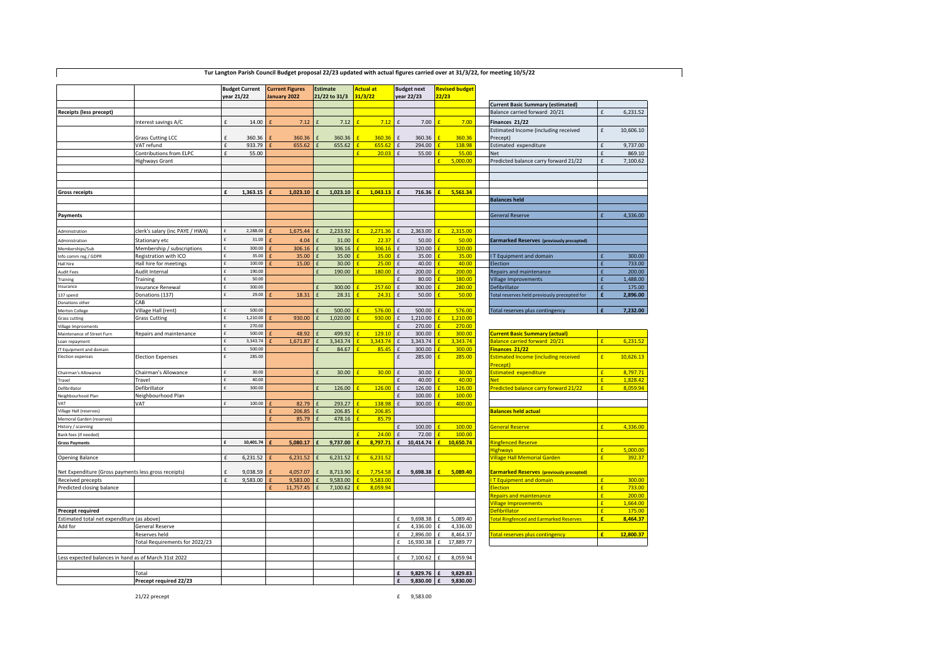| 21/22 to 31/3<br>year 22/23<br>22/23<br><b>Current Basic Summary (estimated)</b><br>Balance carried forward 20/21<br>6,231.52<br>Receipts (less precept)<br>£<br>7.12<br>7.00<br>Interest savings A/C<br>f<br>14.00<br>7.12<br>7.12<br>£<br>7.00<br>Finances 21/22<br>$\mathbf{f}$<br>f<br>Estimated Income (including received<br>£<br>10,606.10<br>360.36<br>360.36<br>360.36<br>360.36<br>360.36<br>360.36<br>Precept)<br><b>Grass Cutting LCC</b><br>$\mathbf{f}$<br>VAT refund<br>£<br>933.79<br>655.62<br>655.62<br>655.62<br>£<br>294.00<br>138.98<br>Estimated expenditure<br>9,737.00<br>£<br>$\mathbf{f}$<br>f<br>55.00<br>20.03<br>55.00<br><b>Net</b><br>869.10<br>Contributions from ELPC<br>£<br>55.00<br>£<br>5.000.00<br>7,100.62<br><b>Highways Grant</b><br>Predicted balance carry forward 21/22<br>1,023.10<br>1.043.13<br>716.36<br>5,561.34<br><b>Gross receipts</b><br>1,363.15<br>1,023.10<br><b>Balances held</b><br>4,336.00<br><b>General Reserve</b><br>Payments<br>clerk's salary (inc PAYE / HWA)<br>2,288.00<br>1,675.44<br>2,233.92<br>2,271.36<br>2,363.00<br>2,315.00<br>f<br>Administration<br>¢<br>£<br>31.00<br>22.37<br>4.04<br>31.00<br>£<br>50.00<br>50.00<br>Stationary etc<br><b>Earmarked Reserves (previously precepted)</b><br><b>Administration</b><br>f<br>300.00<br>Membership / subscriptions<br>£<br>306.16<br>306.16<br>306.16<br>320.00<br>320.00<br>Memberships/Sub<br>$\mathbf{f}$<br>35.00<br>35.00<br>35.00<br>35.00<br>35.00<br>35.00<br>300.00<br>Registration with ICO<br>T Equipment and domain<br>ofo comm reg / GDPR<br>Hall hire for meetings<br>100.00<br>15.00<br>30.00<br>25.00<br>$\mathbf{f}$<br>40.00<br>40.00<br>Election<br>733.00<br>£<br>f<br>£<br>Jall hire<br>190.00<br>190.00<br>200.00<br>200.00<br>200.00<br>Audit Internal<br>£<br>f<br>180.00<br>£<br>Repairs and maintenance<br>£<br>udit Fees<br>1,488.00<br>£<br>50.00<br>$\mathbf f$<br>80.00<br>180.00<br>Village Improvements<br>Training<br>£<br>raining<br>nsurance<br>Insurance Renewal<br>£<br>300.00<br>300.00<br>257.60<br>$\mathbf{f}$<br>300.00<br>280.00<br>Defibrillator<br>175.00<br>f<br>29.00<br>28.31<br>24.31<br>50.00<br>50.00<br>Donations (137)<br>18.31<br>£<br>Fotal reserves held previously precepted for<br>f<br>£<br>37 spend<br>CAB<br>Donations other<br>500.00<br>576.00<br>576.00<br>500.00<br>500.00<br>Village Hall (rent)<br>¢<br>Total reserves plus contingency<br><b>Merton College</b><br>1,020.00<br><b>Grass Cutting</b><br>£<br>1,210.00<br>930.00<br>f<br>930.00<br>£<br>1,210.00<br>1,210.00<br>Grass cutting<br>270.00<br>£<br>£<br>270.00<br>270.00<br><b>fillage Improvments</b><br>500.00<br>48.92<br>499.92<br>129.10<br>300.00<br>300.00<br><b>Current Basic Summary (actual)</b><br>$\mathbf{f}$<br>Repairs and maintenance<br>Maintenance of Street Furn<br>£<br>3,343.74<br>1,671.87<br>3.343.74<br>3.343.74<br>$\pounds$<br>3.343.74<br>3,343.74<br>Balance carried forward 20/21<br>6,231.52<br>$\mathbf{f}$<br>oan repayment<br>500.00<br>84.67<br>85.45<br>300.00<br>300.00<br>Finances 21/22<br>£<br>£<br>T Equipment and domain<br>f<br><b>Election expenses</b><br>285.00<br><b>Election Expenses</b><br>£<br>$\pounds$<br>285.00<br>285.00<br><b>Estimated Income (including received</b><br>£<br>10,626.13<br>Precept)<br>30.00<br>30.00<br>30.00<br>stimated expenditure<br>8,797.71<br>Chairman's Allowance<br>30.00<br>30.00<br>Chairman's Allowance<br>f<br>$\mathbf{f}$<br>40.00<br>40.00<br>40.00<br>1.828.42<br>Travel<br>$\epsilon$<br>let<br>Travel<br>126.00<br>126.00<br>8,059.94<br>300.00<br>126.00<br>126.00<br>Predicted balance carry forward 21/22<br>Defibrillator<br>Defibrillator<br>$\mathbf{f}$<br>Neighbourhood Plan<br>$\pounds$<br>100.00<br>100.00<br>Veighbourhood Plan<br>VAT<br>100.00<br>82.79<br>293.27<br>138.98<br>300.00<br>400.00<br><b>TAV</b><br>£<br>£<br>206.85<br>206.85<br>206.85<br>/illage Hall (reserves)<br><b>Balances held actual</b><br>£<br>85.79<br>478.16<br>85.79<br>Memoral Garden (reserves)<br>£<br>100.00<br>4,336.00<br>100.00<br>General Reserve<br>listory / scanning<br>ank fees (if needed)<br>24.00<br>£<br>72.00<br>100.00<br>8,797.71<br>10,414.74<br>10,650.74<br>10,401.74<br>5,080.17<br>9,737.00<br>£<br>Ringfenced Reserve<br><b>Gross Payments</b><br>£<br>5,000.00<br><b>lighways</b><br>6,231.52<br>6,231.52<br>392.37<br><b>Opening Balance</b><br>6,231.52<br>6,231.52<br><b>Village Hall Memorial Garden</b><br>f<br>£<br>7.754.58<br>9,038.59<br>9,698.38<br>£<br>5,089.40<br>Net Expenditure (Gross payments less gross receipts)<br>4,057.07<br>8,713.90<br>£<br><b>Earmarked Reserves (previously precepted)</b><br>£<br>300.00<br>Received precepts<br>9,583.00<br>9,583.00<br>9,583.00<br>9,583.00<br><b>T Equipment and domain</b><br>£<br>f<br>$\mathbf{f}$<br>f<br>8,059.94<br>733.00<br>Predicted closing balance<br>11,757.45<br>7,100.62<br>lection<br>£<br>f<br>epairs and maintenance<br>£<br>200.00<br>c<br>1,664.00<br><b>illage Improvements</b><br>175.00<br>efibrillator<br>Precept required<br>Estimated total net expenditure (as above)<br>9,698.38<br>5,089.40<br>otal Ringfenced and Earmarked Reserves<br>8,464.37<br>$\epsilon$<br>f<br>£<br>$\epsilon$<br>4,336.00<br>Add for<br>4,336.00<br>General Reserve<br>8,464.37<br>Total reserves plus contingency<br>£<br>12.800.37<br>Reserves held<br>£<br>2,896.00<br>£<br>Total Requirements for 2022/23<br>£<br>17,889.77<br>16,930.38<br>£<br>Less expected balances in hand as of March 31st 2022<br>$\mathbf f$<br>7,100.62<br>8,059.94<br>f<br>9,829.76<br>9,829.83<br>Total<br>£<br>$\mathbf{f}$<br>Precept required 22/23<br>£<br>9,830.00<br>9,830.00 |  | <b>Budget Current</b> |  | <b>Current Figures</b> |  | <b>Estimate</b> |  | Actual at |  | <b>Budget next</b> | <b>Revised budget</b> |  |  |
|-------------------------------------------------------------------------------------------------------------------------------------------------------------------------------------------------------------------------------------------------------------------------------------------------------------------------------------------------------------------------------------------------------------------------------------------------------------------------------------------------------------------------------------------------------------------------------------------------------------------------------------------------------------------------------------------------------------------------------------------------------------------------------------------------------------------------------------------------------------------------------------------------------------------------------------------------------------------------------------------------------------------------------------------------------------------------------------------------------------------------------------------------------------------------------------------------------------------------------------------------------------------------------------------------------------------------------------------------------------------------------------------------------------------------------------------------------------------------------------------------------------------------------------------------------------------------------------------------------------------------------------------------------------------------------------------------------------------------------------------------------------------------------------------------------------------------------------------------------------------------------------------------------------------------------------------------------------------------------------------------------------------------------------------------------------------------------------------------------------------------------------------------------------------------------------------------------------------------------------------------------------------------------------------------------------------------------------------------------------------------------------------------------------------------------------------------------------------------------------------------------------------------------------------------------------------------------------------------------------------------------------------------------------------------------------------------------------------------------------------------------------------------------------------------------------------------------------------------------------------------------------------------------------------------------------------------------------------------------------------------------------------------------------------------------------------------------------------------------------------------------------------------------------------------------------------------------------------------------------------------------------------------------------------------------------------------------------------------------------------------------------------------------------------------------------------------------------------------------------------------------------------------------------------------------------------------------------------------------------------------------------------------------------------------------------------------------------------------------------------------------------------------------------------------------------------------------------------------------------------------------------------------------------------------------------------------------------------------------------------------------------------------------------------------------------------------------------------------------------------------------------------------------------------------------------------------------------------------------------------------------------------------------------------------------------------------------------------------------------------------------------------------------------------------------------------------------------------------------------------------------------------------------------------------------------------------------------------------------------------------------------------------------------------------------------------------------------------------------------------------------------------------------------------------------------------------------------------------------------------------------------------------------------------------------------------------------------------------------------------------------------------------------------------------------------------------------------------------------------------------------------------------------------------------------------------------------------------------------------------------------------------------------------------------------------------------------------------------------------------------------------------------------------------------------------------------------------------------------------------------------------------------------------------------------------------------------------------------------------------------------------------------------------------------------------------------------------------|--|-----------------------|--|------------------------|--|-----------------|--|-----------|--|--------------------|-----------------------|--|--|
|                                                                                                                                                                                                                                                                                                                                                                                                                                                                                                                                                                                                                                                                                                                                                                                                                                                                                                                                                                                                                                                                                                                                                                                                                                                                                                                                                                                                                                                                                                                                                                                                                                                                                                                                                                                                                                                                                                                                                                                                                                                                                                                                                                                                                                                                                                                                                                                                                                                                                                                                                                                                                                                                                                                                                                                                                                                                                                                                                                                                                                                                                                                                                                                                                                                                                                                                                                                                                                                                                                                                                                                                                                                                                                                                                                                                                                                                                                                                                                                                                                                                                                                                                                                                                                                                                                                                                                                                                                                                                                                                                                                                                                                                                                                                                                                                                                                                                                                                                                                                                                                                                                                                                                                                                                                                                                                                                                                                                                                                                                                                                                                                                                                                                                                   |  | year 21/22            |  | lanuary 2022           |  |                 |  | 31/3/22   |  |                    |                       |  |  |
|                                                                                                                                                                                                                                                                                                                                                                                                                                                                                                                                                                                                                                                                                                                                                                                                                                                                                                                                                                                                                                                                                                                                                                                                                                                                                                                                                                                                                                                                                                                                                                                                                                                                                                                                                                                                                                                                                                                                                                                                                                                                                                                                                                                                                                                                                                                                                                                                                                                                                                                                                                                                                                                                                                                                                                                                                                                                                                                                                                                                                                                                                                                                                                                                                                                                                                                                                                                                                                                                                                                                                                                                                                                                                                                                                                                                                                                                                                                                                                                                                                                                                                                                                                                                                                                                                                                                                                                                                                                                                                                                                                                                                                                                                                                                                                                                                                                                                                                                                                                                                                                                                                                                                                                                                                                                                                                                                                                                                                                                                                                                                                                                                                                                                                                   |  |                       |  |                        |  |                 |  |           |  |                    |                       |  |  |
|                                                                                                                                                                                                                                                                                                                                                                                                                                                                                                                                                                                                                                                                                                                                                                                                                                                                                                                                                                                                                                                                                                                                                                                                                                                                                                                                                                                                                                                                                                                                                                                                                                                                                                                                                                                                                                                                                                                                                                                                                                                                                                                                                                                                                                                                                                                                                                                                                                                                                                                                                                                                                                                                                                                                                                                                                                                                                                                                                                                                                                                                                                                                                                                                                                                                                                                                                                                                                                                                                                                                                                                                                                                                                                                                                                                                                                                                                                                                                                                                                                                                                                                                                                                                                                                                                                                                                                                                                                                                                                                                                                                                                                                                                                                                                                                                                                                                                                                                                                                                                                                                                                                                                                                                                                                                                                                                                                                                                                                                                                                                                                                                                                                                                                                   |  |                       |  |                        |  |                 |  |           |  |                    |                       |  |  |
|                                                                                                                                                                                                                                                                                                                                                                                                                                                                                                                                                                                                                                                                                                                                                                                                                                                                                                                                                                                                                                                                                                                                                                                                                                                                                                                                                                                                                                                                                                                                                                                                                                                                                                                                                                                                                                                                                                                                                                                                                                                                                                                                                                                                                                                                                                                                                                                                                                                                                                                                                                                                                                                                                                                                                                                                                                                                                                                                                                                                                                                                                                                                                                                                                                                                                                                                                                                                                                                                                                                                                                                                                                                                                                                                                                                                                                                                                                                                                                                                                                                                                                                                                                                                                                                                                                                                                                                                                                                                                                                                                                                                                                                                                                                                                                                                                                                                                                                                                                                                                                                                                                                                                                                                                                                                                                                                                                                                                                                                                                                                                                                                                                                                                                                   |  |                       |  |                        |  |                 |  |           |  |                    |                       |  |  |
|                                                                                                                                                                                                                                                                                                                                                                                                                                                                                                                                                                                                                                                                                                                                                                                                                                                                                                                                                                                                                                                                                                                                                                                                                                                                                                                                                                                                                                                                                                                                                                                                                                                                                                                                                                                                                                                                                                                                                                                                                                                                                                                                                                                                                                                                                                                                                                                                                                                                                                                                                                                                                                                                                                                                                                                                                                                                                                                                                                                                                                                                                                                                                                                                                                                                                                                                                                                                                                                                                                                                                                                                                                                                                                                                                                                                                                                                                                                                                                                                                                                                                                                                                                                                                                                                                                                                                                                                                                                                                                                                                                                                                                                                                                                                                                                                                                                                                                                                                                                                                                                                                                                                                                                                                                                                                                                                                                                                                                                                                                                                                                                                                                                                                                                   |  |                       |  |                        |  |                 |  |           |  |                    |                       |  |  |
|                                                                                                                                                                                                                                                                                                                                                                                                                                                                                                                                                                                                                                                                                                                                                                                                                                                                                                                                                                                                                                                                                                                                                                                                                                                                                                                                                                                                                                                                                                                                                                                                                                                                                                                                                                                                                                                                                                                                                                                                                                                                                                                                                                                                                                                                                                                                                                                                                                                                                                                                                                                                                                                                                                                                                                                                                                                                                                                                                                                                                                                                                                                                                                                                                                                                                                                                                                                                                                                                                                                                                                                                                                                                                                                                                                                                                                                                                                                                                                                                                                                                                                                                                                                                                                                                                                                                                                                                                                                                                                                                                                                                                                                                                                                                                                                                                                                                                                                                                                                                                                                                                                                                                                                                                                                                                                                                                                                                                                                                                                                                                                                                                                                                                                                   |  |                       |  |                        |  |                 |  |           |  |                    |                       |  |  |
|                                                                                                                                                                                                                                                                                                                                                                                                                                                                                                                                                                                                                                                                                                                                                                                                                                                                                                                                                                                                                                                                                                                                                                                                                                                                                                                                                                                                                                                                                                                                                                                                                                                                                                                                                                                                                                                                                                                                                                                                                                                                                                                                                                                                                                                                                                                                                                                                                                                                                                                                                                                                                                                                                                                                                                                                                                                                                                                                                                                                                                                                                                                                                                                                                                                                                                                                                                                                                                                                                                                                                                                                                                                                                                                                                                                                                                                                                                                                                                                                                                                                                                                                                                                                                                                                                                                                                                                                                                                                                                                                                                                                                                                                                                                                                                                                                                                                                                                                                                                                                                                                                                                                                                                                                                                                                                                                                                                                                                                                                                                                                                                                                                                                                                                   |  |                       |  |                        |  |                 |  |           |  |                    |                       |  |  |
|                                                                                                                                                                                                                                                                                                                                                                                                                                                                                                                                                                                                                                                                                                                                                                                                                                                                                                                                                                                                                                                                                                                                                                                                                                                                                                                                                                                                                                                                                                                                                                                                                                                                                                                                                                                                                                                                                                                                                                                                                                                                                                                                                                                                                                                                                                                                                                                                                                                                                                                                                                                                                                                                                                                                                                                                                                                                                                                                                                                                                                                                                                                                                                                                                                                                                                                                                                                                                                                                                                                                                                                                                                                                                                                                                                                                                                                                                                                                                                                                                                                                                                                                                                                                                                                                                                                                                                                                                                                                                                                                                                                                                                                                                                                                                                                                                                                                                                                                                                                                                                                                                                                                                                                                                                                                                                                                                                                                                                                                                                                                                                                                                                                                                                                   |  |                       |  |                        |  |                 |  |           |  |                    |                       |  |  |
| 2,896.00<br>7,232.00                                                                                                                                                                                                                                                                                                                                                                                                                                                                                                                                                                                                                                                                                                                                                                                                                                                                                                                                                                                                                                                                                                                                                                                                                                                                                                                                                                                                                                                                                                                                                                                                                                                                                                                                                                                                                                                                                                                                                                                                                                                                                                                                                                                                                                                                                                                                                                                                                                                                                                                                                                                                                                                                                                                                                                                                                                                                                                                                                                                                                                                                                                                                                                                                                                                                                                                                                                                                                                                                                                                                                                                                                                                                                                                                                                                                                                                                                                                                                                                                                                                                                                                                                                                                                                                                                                                                                                                                                                                                                                                                                                                                                                                                                                                                                                                                                                                                                                                                                                                                                                                                                                                                                                                                                                                                                                                                                                                                                                                                                                                                                                                                                                                                                              |  |                       |  |                        |  |                 |  |           |  |                    |                       |  |  |
|                                                                                                                                                                                                                                                                                                                                                                                                                                                                                                                                                                                                                                                                                                                                                                                                                                                                                                                                                                                                                                                                                                                                                                                                                                                                                                                                                                                                                                                                                                                                                                                                                                                                                                                                                                                                                                                                                                                                                                                                                                                                                                                                                                                                                                                                                                                                                                                                                                                                                                                                                                                                                                                                                                                                                                                                                                                                                                                                                                                                                                                                                                                                                                                                                                                                                                                                                                                                                                                                                                                                                                                                                                                                                                                                                                                                                                                                                                                                                                                                                                                                                                                                                                                                                                                                                                                                                                                                                                                                                                                                                                                                                                                                                                                                                                                                                                                                                                                                                                                                                                                                                                                                                                                                                                                                                                                                                                                                                                                                                                                                                                                                                                                                                                                   |  |                       |  |                        |  |                 |  |           |  |                    |                       |  |  |
|                                                                                                                                                                                                                                                                                                                                                                                                                                                                                                                                                                                                                                                                                                                                                                                                                                                                                                                                                                                                                                                                                                                                                                                                                                                                                                                                                                                                                                                                                                                                                                                                                                                                                                                                                                                                                                                                                                                                                                                                                                                                                                                                                                                                                                                                                                                                                                                                                                                                                                                                                                                                                                                                                                                                                                                                                                                                                                                                                                                                                                                                                                                                                                                                                                                                                                                                                                                                                                                                                                                                                                                                                                                                                                                                                                                                                                                                                                                                                                                                                                                                                                                                                                                                                                                                                                                                                                                                                                                                                                                                                                                                                                                                                                                                                                                                                                                                                                                                                                                                                                                                                                                                                                                                                                                                                                                                                                                                                                                                                                                                                                                                                                                                                                                   |  |                       |  |                        |  |                 |  |           |  |                    |                       |  |  |
|                                                                                                                                                                                                                                                                                                                                                                                                                                                                                                                                                                                                                                                                                                                                                                                                                                                                                                                                                                                                                                                                                                                                                                                                                                                                                                                                                                                                                                                                                                                                                                                                                                                                                                                                                                                                                                                                                                                                                                                                                                                                                                                                                                                                                                                                                                                                                                                                                                                                                                                                                                                                                                                                                                                                                                                                                                                                                                                                                                                                                                                                                                                                                                                                                                                                                                                                                                                                                                                                                                                                                                                                                                                                                                                                                                                                                                                                                                                                                                                                                                                                                                                                                                                                                                                                                                                                                                                                                                                                                                                                                                                                                                                                                                                                                                                                                                                                                                                                                                                                                                                                                                                                                                                                                                                                                                                                                                                                                                                                                                                                                                                                                                                                                                                   |  |                       |  |                        |  |                 |  |           |  |                    |                       |  |  |
|                                                                                                                                                                                                                                                                                                                                                                                                                                                                                                                                                                                                                                                                                                                                                                                                                                                                                                                                                                                                                                                                                                                                                                                                                                                                                                                                                                                                                                                                                                                                                                                                                                                                                                                                                                                                                                                                                                                                                                                                                                                                                                                                                                                                                                                                                                                                                                                                                                                                                                                                                                                                                                                                                                                                                                                                                                                                                                                                                                                                                                                                                                                                                                                                                                                                                                                                                                                                                                                                                                                                                                                                                                                                                                                                                                                                                                                                                                                                                                                                                                                                                                                                                                                                                                                                                                                                                                                                                                                                                                                                                                                                                                                                                                                                                                                                                                                                                                                                                                                                                                                                                                                                                                                                                                                                                                                                                                                                                                                                                                                                                                                                                                                                                                                   |  |                       |  |                        |  |                 |  |           |  |                    |                       |  |  |
|                                                                                                                                                                                                                                                                                                                                                                                                                                                                                                                                                                                                                                                                                                                                                                                                                                                                                                                                                                                                                                                                                                                                                                                                                                                                                                                                                                                                                                                                                                                                                                                                                                                                                                                                                                                                                                                                                                                                                                                                                                                                                                                                                                                                                                                                                                                                                                                                                                                                                                                                                                                                                                                                                                                                                                                                                                                                                                                                                                                                                                                                                                                                                                                                                                                                                                                                                                                                                                                                                                                                                                                                                                                                                                                                                                                                                                                                                                                                                                                                                                                                                                                                                                                                                                                                                                                                                                                                                                                                                                                                                                                                                                                                                                                                                                                                                                                                                                                                                                                                                                                                                                                                                                                                                                                                                                                                                                                                                                                                                                                                                                                                                                                                                                                   |  |                       |  |                        |  |                 |  |           |  |                    |                       |  |  |
|                                                                                                                                                                                                                                                                                                                                                                                                                                                                                                                                                                                                                                                                                                                                                                                                                                                                                                                                                                                                                                                                                                                                                                                                                                                                                                                                                                                                                                                                                                                                                                                                                                                                                                                                                                                                                                                                                                                                                                                                                                                                                                                                                                                                                                                                                                                                                                                                                                                                                                                                                                                                                                                                                                                                                                                                                                                                                                                                                                                                                                                                                                                                                                                                                                                                                                                                                                                                                                                                                                                                                                                                                                                                                                                                                                                                                                                                                                                                                                                                                                                                                                                                                                                                                                                                                                                                                                                                                                                                                                                                                                                                                                                                                                                                                                                                                                                                                                                                                                                                                                                                                                                                                                                                                                                                                                                                                                                                                                                                                                                                                                                                                                                                                                                   |  |                       |  |                        |  |                 |  |           |  |                    |                       |  |  |
|                                                                                                                                                                                                                                                                                                                                                                                                                                                                                                                                                                                                                                                                                                                                                                                                                                                                                                                                                                                                                                                                                                                                                                                                                                                                                                                                                                                                                                                                                                                                                                                                                                                                                                                                                                                                                                                                                                                                                                                                                                                                                                                                                                                                                                                                                                                                                                                                                                                                                                                                                                                                                                                                                                                                                                                                                                                                                                                                                                                                                                                                                                                                                                                                                                                                                                                                                                                                                                                                                                                                                                                                                                                                                                                                                                                                                                                                                                                                                                                                                                                                                                                                                                                                                                                                                                                                                                                                                                                                                                                                                                                                                                                                                                                                                                                                                                                                                                                                                                                                                                                                                                                                                                                                                                                                                                                                                                                                                                                                                                                                                                                                                                                                                                                   |  |                       |  |                        |  |                 |  |           |  |                    |                       |  |  |
|                                                                                                                                                                                                                                                                                                                                                                                                                                                                                                                                                                                                                                                                                                                                                                                                                                                                                                                                                                                                                                                                                                                                                                                                                                                                                                                                                                                                                                                                                                                                                                                                                                                                                                                                                                                                                                                                                                                                                                                                                                                                                                                                                                                                                                                                                                                                                                                                                                                                                                                                                                                                                                                                                                                                                                                                                                                                                                                                                                                                                                                                                                                                                                                                                                                                                                                                                                                                                                                                                                                                                                                                                                                                                                                                                                                                                                                                                                                                                                                                                                                                                                                                                                                                                                                                                                                                                                                                                                                                                                                                                                                                                                                                                                                                                                                                                                                                                                                                                                                                                                                                                                                                                                                                                                                                                                                                                                                                                                                                                                                                                                                                                                                                                                                   |  |                       |  |                        |  |                 |  |           |  |                    |                       |  |  |
|                                                                                                                                                                                                                                                                                                                                                                                                                                                                                                                                                                                                                                                                                                                                                                                                                                                                                                                                                                                                                                                                                                                                                                                                                                                                                                                                                                                                                                                                                                                                                                                                                                                                                                                                                                                                                                                                                                                                                                                                                                                                                                                                                                                                                                                                                                                                                                                                                                                                                                                                                                                                                                                                                                                                                                                                                                                                                                                                                                                                                                                                                                                                                                                                                                                                                                                                                                                                                                                                                                                                                                                                                                                                                                                                                                                                                                                                                                                                                                                                                                                                                                                                                                                                                                                                                                                                                                                                                                                                                                                                                                                                                                                                                                                                                                                                                                                                                                                                                                                                                                                                                                                                                                                                                                                                                                                                                                                                                                                                                                                                                                                                                                                                                                                   |  |                       |  |                        |  |                 |  |           |  |                    |                       |  |  |
|                                                                                                                                                                                                                                                                                                                                                                                                                                                                                                                                                                                                                                                                                                                                                                                                                                                                                                                                                                                                                                                                                                                                                                                                                                                                                                                                                                                                                                                                                                                                                                                                                                                                                                                                                                                                                                                                                                                                                                                                                                                                                                                                                                                                                                                                                                                                                                                                                                                                                                                                                                                                                                                                                                                                                                                                                                                                                                                                                                                                                                                                                                                                                                                                                                                                                                                                                                                                                                                                                                                                                                                                                                                                                                                                                                                                                                                                                                                                                                                                                                                                                                                                                                                                                                                                                                                                                                                                                                                                                                                                                                                                                                                                                                                                                                                                                                                                                                                                                                                                                                                                                                                                                                                                                                                                                                                                                                                                                                                                                                                                                                                                                                                                                                                   |  |                       |  |                        |  |                 |  |           |  |                    |                       |  |  |
|                                                                                                                                                                                                                                                                                                                                                                                                                                                                                                                                                                                                                                                                                                                                                                                                                                                                                                                                                                                                                                                                                                                                                                                                                                                                                                                                                                                                                                                                                                                                                                                                                                                                                                                                                                                                                                                                                                                                                                                                                                                                                                                                                                                                                                                                                                                                                                                                                                                                                                                                                                                                                                                                                                                                                                                                                                                                                                                                                                                                                                                                                                                                                                                                                                                                                                                                                                                                                                                                                                                                                                                                                                                                                                                                                                                                                                                                                                                                                                                                                                                                                                                                                                                                                                                                                                                                                                                                                                                                                                                                                                                                                                                                                                                                                                                                                                                                                                                                                                                                                                                                                                                                                                                                                                                                                                                                                                                                                                                                                                                                                                                                                                                                                                                   |  |                       |  |                        |  |                 |  |           |  |                    |                       |  |  |
|                                                                                                                                                                                                                                                                                                                                                                                                                                                                                                                                                                                                                                                                                                                                                                                                                                                                                                                                                                                                                                                                                                                                                                                                                                                                                                                                                                                                                                                                                                                                                                                                                                                                                                                                                                                                                                                                                                                                                                                                                                                                                                                                                                                                                                                                                                                                                                                                                                                                                                                                                                                                                                                                                                                                                                                                                                                                                                                                                                                                                                                                                                                                                                                                                                                                                                                                                                                                                                                                                                                                                                                                                                                                                                                                                                                                                                                                                                                                                                                                                                                                                                                                                                                                                                                                                                                                                                                                                                                                                                                                                                                                                                                                                                                                                                                                                                                                                                                                                                                                                                                                                                                                                                                                                                                                                                                                                                                                                                                                                                                                                                                                                                                                                                                   |  |                       |  |                        |  |                 |  |           |  |                    |                       |  |  |
|                                                                                                                                                                                                                                                                                                                                                                                                                                                                                                                                                                                                                                                                                                                                                                                                                                                                                                                                                                                                                                                                                                                                                                                                                                                                                                                                                                                                                                                                                                                                                                                                                                                                                                                                                                                                                                                                                                                                                                                                                                                                                                                                                                                                                                                                                                                                                                                                                                                                                                                                                                                                                                                                                                                                                                                                                                                                                                                                                                                                                                                                                                                                                                                                                                                                                                                                                                                                                                                                                                                                                                                                                                                                                                                                                                                                                                                                                                                                                                                                                                                                                                                                                                                                                                                                                                                                                                                                                                                                                                                                                                                                                                                                                                                                                                                                                                                                                                                                                                                                                                                                                                                                                                                                                                                                                                                                                                                                                                                                                                                                                                                                                                                                                                                   |  |                       |  |                        |  |                 |  |           |  |                    |                       |  |  |
|                                                                                                                                                                                                                                                                                                                                                                                                                                                                                                                                                                                                                                                                                                                                                                                                                                                                                                                                                                                                                                                                                                                                                                                                                                                                                                                                                                                                                                                                                                                                                                                                                                                                                                                                                                                                                                                                                                                                                                                                                                                                                                                                                                                                                                                                                                                                                                                                                                                                                                                                                                                                                                                                                                                                                                                                                                                                                                                                                                                                                                                                                                                                                                                                                                                                                                                                                                                                                                                                                                                                                                                                                                                                                                                                                                                                                                                                                                                                                                                                                                                                                                                                                                                                                                                                                                                                                                                                                                                                                                                                                                                                                                                                                                                                                                                                                                                                                                                                                                                                                                                                                                                                                                                                                                                                                                                                                                                                                                                                                                                                                                                                                                                                                                                   |  |                       |  |                        |  |                 |  |           |  |                    |                       |  |  |
|                                                                                                                                                                                                                                                                                                                                                                                                                                                                                                                                                                                                                                                                                                                                                                                                                                                                                                                                                                                                                                                                                                                                                                                                                                                                                                                                                                                                                                                                                                                                                                                                                                                                                                                                                                                                                                                                                                                                                                                                                                                                                                                                                                                                                                                                                                                                                                                                                                                                                                                                                                                                                                                                                                                                                                                                                                                                                                                                                                                                                                                                                                                                                                                                                                                                                                                                                                                                                                                                                                                                                                                                                                                                                                                                                                                                                                                                                                                                                                                                                                                                                                                                                                                                                                                                                                                                                                                                                                                                                                                                                                                                                                                                                                                                                                                                                                                                                                                                                                                                                                                                                                                                                                                                                                                                                                                                                                                                                                                                                                                                                                                                                                                                                                                   |  |                       |  |                        |  |                 |  |           |  |                    |                       |  |  |
|                                                                                                                                                                                                                                                                                                                                                                                                                                                                                                                                                                                                                                                                                                                                                                                                                                                                                                                                                                                                                                                                                                                                                                                                                                                                                                                                                                                                                                                                                                                                                                                                                                                                                                                                                                                                                                                                                                                                                                                                                                                                                                                                                                                                                                                                                                                                                                                                                                                                                                                                                                                                                                                                                                                                                                                                                                                                                                                                                                                                                                                                                                                                                                                                                                                                                                                                                                                                                                                                                                                                                                                                                                                                                                                                                                                                                                                                                                                                                                                                                                                                                                                                                                                                                                                                                                                                                                                                                                                                                                                                                                                                                                                                                                                                                                                                                                                                                                                                                                                                                                                                                                                                                                                                                                                                                                                                                                                                                                                                                                                                                                                                                                                                                                                   |  |                       |  |                        |  |                 |  |           |  |                    |                       |  |  |
|                                                                                                                                                                                                                                                                                                                                                                                                                                                                                                                                                                                                                                                                                                                                                                                                                                                                                                                                                                                                                                                                                                                                                                                                                                                                                                                                                                                                                                                                                                                                                                                                                                                                                                                                                                                                                                                                                                                                                                                                                                                                                                                                                                                                                                                                                                                                                                                                                                                                                                                                                                                                                                                                                                                                                                                                                                                                                                                                                                                                                                                                                                                                                                                                                                                                                                                                                                                                                                                                                                                                                                                                                                                                                                                                                                                                                                                                                                                                                                                                                                                                                                                                                                                                                                                                                                                                                                                                                                                                                                                                                                                                                                                                                                                                                                                                                                                                                                                                                                                                                                                                                                                                                                                                                                                                                                                                                                                                                                                                                                                                                                                                                                                                                                                   |  |                       |  |                        |  |                 |  |           |  |                    |                       |  |  |
|                                                                                                                                                                                                                                                                                                                                                                                                                                                                                                                                                                                                                                                                                                                                                                                                                                                                                                                                                                                                                                                                                                                                                                                                                                                                                                                                                                                                                                                                                                                                                                                                                                                                                                                                                                                                                                                                                                                                                                                                                                                                                                                                                                                                                                                                                                                                                                                                                                                                                                                                                                                                                                                                                                                                                                                                                                                                                                                                                                                                                                                                                                                                                                                                                                                                                                                                                                                                                                                                                                                                                                                                                                                                                                                                                                                                                                                                                                                                                                                                                                                                                                                                                                                                                                                                                                                                                                                                                                                                                                                                                                                                                                                                                                                                                                                                                                                                                                                                                                                                                                                                                                                                                                                                                                                                                                                                                                                                                                                                                                                                                                                                                                                                                                                   |  |                       |  |                        |  |                 |  |           |  |                    |                       |  |  |
|                                                                                                                                                                                                                                                                                                                                                                                                                                                                                                                                                                                                                                                                                                                                                                                                                                                                                                                                                                                                                                                                                                                                                                                                                                                                                                                                                                                                                                                                                                                                                                                                                                                                                                                                                                                                                                                                                                                                                                                                                                                                                                                                                                                                                                                                                                                                                                                                                                                                                                                                                                                                                                                                                                                                                                                                                                                                                                                                                                                                                                                                                                                                                                                                                                                                                                                                                                                                                                                                                                                                                                                                                                                                                                                                                                                                                                                                                                                                                                                                                                                                                                                                                                                                                                                                                                                                                                                                                                                                                                                                                                                                                                                                                                                                                                                                                                                                                                                                                                                                                                                                                                                                                                                                                                                                                                                                                                                                                                                                                                                                                                                                                                                                                                                   |  |                       |  |                        |  |                 |  |           |  |                    |                       |  |  |
|                                                                                                                                                                                                                                                                                                                                                                                                                                                                                                                                                                                                                                                                                                                                                                                                                                                                                                                                                                                                                                                                                                                                                                                                                                                                                                                                                                                                                                                                                                                                                                                                                                                                                                                                                                                                                                                                                                                                                                                                                                                                                                                                                                                                                                                                                                                                                                                                                                                                                                                                                                                                                                                                                                                                                                                                                                                                                                                                                                                                                                                                                                                                                                                                                                                                                                                                                                                                                                                                                                                                                                                                                                                                                                                                                                                                                                                                                                                                                                                                                                                                                                                                                                                                                                                                                                                                                                                                                                                                                                                                                                                                                                                                                                                                                                                                                                                                                                                                                                                                                                                                                                                                                                                                                                                                                                                                                                                                                                                                                                                                                                                                                                                                                                                   |  |                       |  |                        |  |                 |  |           |  |                    |                       |  |  |
|                                                                                                                                                                                                                                                                                                                                                                                                                                                                                                                                                                                                                                                                                                                                                                                                                                                                                                                                                                                                                                                                                                                                                                                                                                                                                                                                                                                                                                                                                                                                                                                                                                                                                                                                                                                                                                                                                                                                                                                                                                                                                                                                                                                                                                                                                                                                                                                                                                                                                                                                                                                                                                                                                                                                                                                                                                                                                                                                                                                                                                                                                                                                                                                                                                                                                                                                                                                                                                                                                                                                                                                                                                                                                                                                                                                                                                                                                                                                                                                                                                                                                                                                                                                                                                                                                                                                                                                                                                                                                                                                                                                                                                                                                                                                                                                                                                                                                                                                                                                                                                                                                                                                                                                                                                                                                                                                                                                                                                                                                                                                                                                                                                                                                                                   |  |                       |  |                        |  |                 |  |           |  |                    |                       |  |  |
|                                                                                                                                                                                                                                                                                                                                                                                                                                                                                                                                                                                                                                                                                                                                                                                                                                                                                                                                                                                                                                                                                                                                                                                                                                                                                                                                                                                                                                                                                                                                                                                                                                                                                                                                                                                                                                                                                                                                                                                                                                                                                                                                                                                                                                                                                                                                                                                                                                                                                                                                                                                                                                                                                                                                                                                                                                                                                                                                                                                                                                                                                                                                                                                                                                                                                                                                                                                                                                                                                                                                                                                                                                                                                                                                                                                                                                                                                                                                                                                                                                                                                                                                                                                                                                                                                                                                                                                                                                                                                                                                                                                                                                                                                                                                                                                                                                                                                                                                                                                                                                                                                                                                                                                                                                                                                                                                                                                                                                                                                                                                                                                                                                                                                                                   |  |                       |  |                        |  |                 |  |           |  |                    |                       |  |  |
|                                                                                                                                                                                                                                                                                                                                                                                                                                                                                                                                                                                                                                                                                                                                                                                                                                                                                                                                                                                                                                                                                                                                                                                                                                                                                                                                                                                                                                                                                                                                                                                                                                                                                                                                                                                                                                                                                                                                                                                                                                                                                                                                                                                                                                                                                                                                                                                                                                                                                                                                                                                                                                                                                                                                                                                                                                                                                                                                                                                                                                                                                                                                                                                                                                                                                                                                                                                                                                                                                                                                                                                                                                                                                                                                                                                                                                                                                                                                                                                                                                                                                                                                                                                                                                                                                                                                                                                                                                                                                                                                                                                                                                                                                                                                                                                                                                                                                                                                                                                                                                                                                                                                                                                                                                                                                                                                                                                                                                                                                                                                                                                                                                                                                                                   |  |                       |  |                        |  |                 |  |           |  |                    |                       |  |  |
|                                                                                                                                                                                                                                                                                                                                                                                                                                                                                                                                                                                                                                                                                                                                                                                                                                                                                                                                                                                                                                                                                                                                                                                                                                                                                                                                                                                                                                                                                                                                                                                                                                                                                                                                                                                                                                                                                                                                                                                                                                                                                                                                                                                                                                                                                                                                                                                                                                                                                                                                                                                                                                                                                                                                                                                                                                                                                                                                                                                                                                                                                                                                                                                                                                                                                                                                                                                                                                                                                                                                                                                                                                                                                                                                                                                                                                                                                                                                                                                                                                                                                                                                                                                                                                                                                                                                                                                                                                                                                                                                                                                                                                                                                                                                                                                                                                                                                                                                                                                                                                                                                                                                                                                                                                                                                                                                                                                                                                                                                                                                                                                                                                                                                                                   |  |                       |  |                        |  |                 |  |           |  |                    |                       |  |  |
|                                                                                                                                                                                                                                                                                                                                                                                                                                                                                                                                                                                                                                                                                                                                                                                                                                                                                                                                                                                                                                                                                                                                                                                                                                                                                                                                                                                                                                                                                                                                                                                                                                                                                                                                                                                                                                                                                                                                                                                                                                                                                                                                                                                                                                                                                                                                                                                                                                                                                                                                                                                                                                                                                                                                                                                                                                                                                                                                                                                                                                                                                                                                                                                                                                                                                                                                                                                                                                                                                                                                                                                                                                                                                                                                                                                                                                                                                                                                                                                                                                                                                                                                                                                                                                                                                                                                                                                                                                                                                                                                                                                                                                                                                                                                                                                                                                                                                                                                                                                                                                                                                                                                                                                                                                                                                                                                                                                                                                                                                                                                                                                                                                                                                                                   |  |                       |  |                        |  |                 |  |           |  |                    |                       |  |  |
|                                                                                                                                                                                                                                                                                                                                                                                                                                                                                                                                                                                                                                                                                                                                                                                                                                                                                                                                                                                                                                                                                                                                                                                                                                                                                                                                                                                                                                                                                                                                                                                                                                                                                                                                                                                                                                                                                                                                                                                                                                                                                                                                                                                                                                                                                                                                                                                                                                                                                                                                                                                                                                                                                                                                                                                                                                                                                                                                                                                                                                                                                                                                                                                                                                                                                                                                                                                                                                                                                                                                                                                                                                                                                                                                                                                                                                                                                                                                                                                                                                                                                                                                                                                                                                                                                                                                                                                                                                                                                                                                                                                                                                                                                                                                                                                                                                                                                                                                                                                                                                                                                                                                                                                                                                                                                                                                                                                                                                                                                                                                                                                                                                                                                                                   |  |                       |  |                        |  |                 |  |           |  |                    |                       |  |  |
|                                                                                                                                                                                                                                                                                                                                                                                                                                                                                                                                                                                                                                                                                                                                                                                                                                                                                                                                                                                                                                                                                                                                                                                                                                                                                                                                                                                                                                                                                                                                                                                                                                                                                                                                                                                                                                                                                                                                                                                                                                                                                                                                                                                                                                                                                                                                                                                                                                                                                                                                                                                                                                                                                                                                                                                                                                                                                                                                                                                                                                                                                                                                                                                                                                                                                                                                                                                                                                                                                                                                                                                                                                                                                                                                                                                                                                                                                                                                                                                                                                                                                                                                                                                                                                                                                                                                                                                                                                                                                                                                                                                                                                                                                                                                                                                                                                                                                                                                                                                                                                                                                                                                                                                                                                                                                                                                                                                                                                                                                                                                                                                                                                                                                                                   |  |                       |  |                        |  |                 |  |           |  |                    |                       |  |  |
|                                                                                                                                                                                                                                                                                                                                                                                                                                                                                                                                                                                                                                                                                                                                                                                                                                                                                                                                                                                                                                                                                                                                                                                                                                                                                                                                                                                                                                                                                                                                                                                                                                                                                                                                                                                                                                                                                                                                                                                                                                                                                                                                                                                                                                                                                                                                                                                                                                                                                                                                                                                                                                                                                                                                                                                                                                                                                                                                                                                                                                                                                                                                                                                                                                                                                                                                                                                                                                                                                                                                                                                                                                                                                                                                                                                                                                                                                                                                                                                                                                                                                                                                                                                                                                                                                                                                                                                                                                                                                                                                                                                                                                                                                                                                                                                                                                                                                                                                                                                                                                                                                                                                                                                                                                                                                                                                                                                                                                                                                                                                                                                                                                                                                                                   |  |                       |  |                        |  |                 |  |           |  |                    |                       |  |  |
|                                                                                                                                                                                                                                                                                                                                                                                                                                                                                                                                                                                                                                                                                                                                                                                                                                                                                                                                                                                                                                                                                                                                                                                                                                                                                                                                                                                                                                                                                                                                                                                                                                                                                                                                                                                                                                                                                                                                                                                                                                                                                                                                                                                                                                                                                                                                                                                                                                                                                                                                                                                                                                                                                                                                                                                                                                                                                                                                                                                                                                                                                                                                                                                                                                                                                                                                                                                                                                                                                                                                                                                                                                                                                                                                                                                                                                                                                                                                                                                                                                                                                                                                                                                                                                                                                                                                                                                                                                                                                                                                                                                                                                                                                                                                                                                                                                                                                                                                                                                                                                                                                                                                                                                                                                                                                                                                                                                                                                                                                                                                                                                                                                                                                                                   |  |                       |  |                        |  |                 |  |           |  |                    |                       |  |  |
|                                                                                                                                                                                                                                                                                                                                                                                                                                                                                                                                                                                                                                                                                                                                                                                                                                                                                                                                                                                                                                                                                                                                                                                                                                                                                                                                                                                                                                                                                                                                                                                                                                                                                                                                                                                                                                                                                                                                                                                                                                                                                                                                                                                                                                                                                                                                                                                                                                                                                                                                                                                                                                                                                                                                                                                                                                                                                                                                                                                                                                                                                                                                                                                                                                                                                                                                                                                                                                                                                                                                                                                                                                                                                                                                                                                                                                                                                                                                                                                                                                                                                                                                                                                                                                                                                                                                                                                                                                                                                                                                                                                                                                                                                                                                                                                                                                                                                                                                                                                                                                                                                                                                                                                                                                                                                                                                                                                                                                                                                                                                                                                                                                                                                                                   |  |                       |  |                        |  |                 |  |           |  |                    |                       |  |  |
|                                                                                                                                                                                                                                                                                                                                                                                                                                                                                                                                                                                                                                                                                                                                                                                                                                                                                                                                                                                                                                                                                                                                                                                                                                                                                                                                                                                                                                                                                                                                                                                                                                                                                                                                                                                                                                                                                                                                                                                                                                                                                                                                                                                                                                                                                                                                                                                                                                                                                                                                                                                                                                                                                                                                                                                                                                                                                                                                                                                                                                                                                                                                                                                                                                                                                                                                                                                                                                                                                                                                                                                                                                                                                                                                                                                                                                                                                                                                                                                                                                                                                                                                                                                                                                                                                                                                                                                                                                                                                                                                                                                                                                                                                                                                                                                                                                                                                                                                                                                                                                                                                                                                                                                                                                                                                                                                                                                                                                                                                                                                                                                                                                                                                                                   |  |                       |  |                        |  |                 |  |           |  |                    |                       |  |  |
|                                                                                                                                                                                                                                                                                                                                                                                                                                                                                                                                                                                                                                                                                                                                                                                                                                                                                                                                                                                                                                                                                                                                                                                                                                                                                                                                                                                                                                                                                                                                                                                                                                                                                                                                                                                                                                                                                                                                                                                                                                                                                                                                                                                                                                                                                                                                                                                                                                                                                                                                                                                                                                                                                                                                                                                                                                                                                                                                                                                                                                                                                                                                                                                                                                                                                                                                                                                                                                                                                                                                                                                                                                                                                                                                                                                                                                                                                                                                                                                                                                                                                                                                                                                                                                                                                                                                                                                                                                                                                                                                                                                                                                                                                                                                                                                                                                                                                                                                                                                                                                                                                                                                                                                                                                                                                                                                                                                                                                                                                                                                                                                                                                                                                                                   |  |                       |  |                        |  |                 |  |           |  |                    |                       |  |  |
|                                                                                                                                                                                                                                                                                                                                                                                                                                                                                                                                                                                                                                                                                                                                                                                                                                                                                                                                                                                                                                                                                                                                                                                                                                                                                                                                                                                                                                                                                                                                                                                                                                                                                                                                                                                                                                                                                                                                                                                                                                                                                                                                                                                                                                                                                                                                                                                                                                                                                                                                                                                                                                                                                                                                                                                                                                                                                                                                                                                                                                                                                                                                                                                                                                                                                                                                                                                                                                                                                                                                                                                                                                                                                                                                                                                                                                                                                                                                                                                                                                                                                                                                                                                                                                                                                                                                                                                                                                                                                                                                                                                                                                                                                                                                                                                                                                                                                                                                                                                                                                                                                                                                                                                                                                                                                                                                                                                                                                                                                                                                                                                                                                                                                                                   |  |                       |  |                        |  |                 |  |           |  |                    |                       |  |  |
|                                                                                                                                                                                                                                                                                                                                                                                                                                                                                                                                                                                                                                                                                                                                                                                                                                                                                                                                                                                                                                                                                                                                                                                                                                                                                                                                                                                                                                                                                                                                                                                                                                                                                                                                                                                                                                                                                                                                                                                                                                                                                                                                                                                                                                                                                                                                                                                                                                                                                                                                                                                                                                                                                                                                                                                                                                                                                                                                                                                                                                                                                                                                                                                                                                                                                                                                                                                                                                                                                                                                                                                                                                                                                                                                                                                                                                                                                                                                                                                                                                                                                                                                                                                                                                                                                                                                                                                                                                                                                                                                                                                                                                                                                                                                                                                                                                                                                                                                                                                                                                                                                                                                                                                                                                                                                                                                                                                                                                                                                                                                                                                                                                                                                                                   |  |                       |  |                        |  |                 |  |           |  |                    |                       |  |  |
|                                                                                                                                                                                                                                                                                                                                                                                                                                                                                                                                                                                                                                                                                                                                                                                                                                                                                                                                                                                                                                                                                                                                                                                                                                                                                                                                                                                                                                                                                                                                                                                                                                                                                                                                                                                                                                                                                                                                                                                                                                                                                                                                                                                                                                                                                                                                                                                                                                                                                                                                                                                                                                                                                                                                                                                                                                                                                                                                                                                                                                                                                                                                                                                                                                                                                                                                                                                                                                                                                                                                                                                                                                                                                                                                                                                                                                                                                                                                                                                                                                                                                                                                                                                                                                                                                                                                                                                                                                                                                                                                                                                                                                                                                                                                                                                                                                                                                                                                                                                                                                                                                                                                                                                                                                                                                                                                                                                                                                                                                                                                                                                                                                                                                                                   |  |                       |  |                        |  |                 |  |           |  |                    |                       |  |  |
|                                                                                                                                                                                                                                                                                                                                                                                                                                                                                                                                                                                                                                                                                                                                                                                                                                                                                                                                                                                                                                                                                                                                                                                                                                                                                                                                                                                                                                                                                                                                                                                                                                                                                                                                                                                                                                                                                                                                                                                                                                                                                                                                                                                                                                                                                                                                                                                                                                                                                                                                                                                                                                                                                                                                                                                                                                                                                                                                                                                                                                                                                                                                                                                                                                                                                                                                                                                                                                                                                                                                                                                                                                                                                                                                                                                                                                                                                                                                                                                                                                                                                                                                                                                                                                                                                                                                                                                                                                                                                                                                                                                                                                                                                                                                                                                                                                                                                                                                                                                                                                                                                                                                                                                                                                                                                                                                                                                                                                                                                                                                                                                                                                                                                                                   |  |                       |  |                        |  |                 |  |           |  |                    |                       |  |  |
|                                                                                                                                                                                                                                                                                                                                                                                                                                                                                                                                                                                                                                                                                                                                                                                                                                                                                                                                                                                                                                                                                                                                                                                                                                                                                                                                                                                                                                                                                                                                                                                                                                                                                                                                                                                                                                                                                                                                                                                                                                                                                                                                                                                                                                                                                                                                                                                                                                                                                                                                                                                                                                                                                                                                                                                                                                                                                                                                                                                                                                                                                                                                                                                                                                                                                                                                                                                                                                                                                                                                                                                                                                                                                                                                                                                                                                                                                                                                                                                                                                                                                                                                                                                                                                                                                                                                                                                                                                                                                                                                                                                                                                                                                                                                                                                                                                                                                                                                                                                                                                                                                                                                                                                                                                                                                                                                                                                                                                                                                                                                                                                                                                                                                                                   |  |                       |  |                        |  |                 |  |           |  |                    |                       |  |  |
|                                                                                                                                                                                                                                                                                                                                                                                                                                                                                                                                                                                                                                                                                                                                                                                                                                                                                                                                                                                                                                                                                                                                                                                                                                                                                                                                                                                                                                                                                                                                                                                                                                                                                                                                                                                                                                                                                                                                                                                                                                                                                                                                                                                                                                                                                                                                                                                                                                                                                                                                                                                                                                                                                                                                                                                                                                                                                                                                                                                                                                                                                                                                                                                                                                                                                                                                                                                                                                                                                                                                                                                                                                                                                                                                                                                                                                                                                                                                                                                                                                                                                                                                                                                                                                                                                                                                                                                                                                                                                                                                                                                                                                                                                                                                                                                                                                                                                                                                                                                                                                                                                                                                                                                                                                                                                                                                                                                                                                                                                                                                                                                                                                                                                                                   |  |                       |  |                        |  |                 |  |           |  |                    |                       |  |  |
|                                                                                                                                                                                                                                                                                                                                                                                                                                                                                                                                                                                                                                                                                                                                                                                                                                                                                                                                                                                                                                                                                                                                                                                                                                                                                                                                                                                                                                                                                                                                                                                                                                                                                                                                                                                                                                                                                                                                                                                                                                                                                                                                                                                                                                                                                                                                                                                                                                                                                                                                                                                                                                                                                                                                                                                                                                                                                                                                                                                                                                                                                                                                                                                                                                                                                                                                                                                                                                                                                                                                                                                                                                                                                                                                                                                                                                                                                                                                                                                                                                                                                                                                                                                                                                                                                                                                                                                                                                                                                                                                                                                                                                                                                                                                                                                                                                                                                                                                                                                                                                                                                                                                                                                                                                                                                                                                                                                                                                                                                                                                                                                                                                                                                                                   |  |                       |  |                        |  |                 |  |           |  |                    |                       |  |  |
|                                                                                                                                                                                                                                                                                                                                                                                                                                                                                                                                                                                                                                                                                                                                                                                                                                                                                                                                                                                                                                                                                                                                                                                                                                                                                                                                                                                                                                                                                                                                                                                                                                                                                                                                                                                                                                                                                                                                                                                                                                                                                                                                                                                                                                                                                                                                                                                                                                                                                                                                                                                                                                                                                                                                                                                                                                                                                                                                                                                                                                                                                                                                                                                                                                                                                                                                                                                                                                                                                                                                                                                                                                                                                                                                                                                                                                                                                                                                                                                                                                                                                                                                                                                                                                                                                                                                                                                                                                                                                                                                                                                                                                                                                                                                                                                                                                                                                                                                                                                                                                                                                                                                                                                                                                                                                                                                                                                                                                                                                                                                                                                                                                                                                                                   |  |                       |  |                        |  |                 |  |           |  |                    |                       |  |  |
|                                                                                                                                                                                                                                                                                                                                                                                                                                                                                                                                                                                                                                                                                                                                                                                                                                                                                                                                                                                                                                                                                                                                                                                                                                                                                                                                                                                                                                                                                                                                                                                                                                                                                                                                                                                                                                                                                                                                                                                                                                                                                                                                                                                                                                                                                                                                                                                                                                                                                                                                                                                                                                                                                                                                                                                                                                                                                                                                                                                                                                                                                                                                                                                                                                                                                                                                                                                                                                                                                                                                                                                                                                                                                                                                                                                                                                                                                                                                                                                                                                                                                                                                                                                                                                                                                                                                                                                                                                                                                                                                                                                                                                                                                                                                                                                                                                                                                                                                                                                                                                                                                                                                                                                                                                                                                                                                                                                                                                                                                                                                                                                                                                                                                                                   |  |                       |  |                        |  |                 |  |           |  |                    |                       |  |  |
|                                                                                                                                                                                                                                                                                                                                                                                                                                                                                                                                                                                                                                                                                                                                                                                                                                                                                                                                                                                                                                                                                                                                                                                                                                                                                                                                                                                                                                                                                                                                                                                                                                                                                                                                                                                                                                                                                                                                                                                                                                                                                                                                                                                                                                                                                                                                                                                                                                                                                                                                                                                                                                                                                                                                                                                                                                                                                                                                                                                                                                                                                                                                                                                                                                                                                                                                                                                                                                                                                                                                                                                                                                                                                                                                                                                                                                                                                                                                                                                                                                                                                                                                                                                                                                                                                                                                                                                                                                                                                                                                                                                                                                                                                                                                                                                                                                                                                                                                                                                                                                                                                                                                                                                                                                                                                                                                                                                                                                                                                                                                                                                                                                                                                                                   |  |                       |  |                        |  |                 |  |           |  |                    |                       |  |  |
|                                                                                                                                                                                                                                                                                                                                                                                                                                                                                                                                                                                                                                                                                                                                                                                                                                                                                                                                                                                                                                                                                                                                                                                                                                                                                                                                                                                                                                                                                                                                                                                                                                                                                                                                                                                                                                                                                                                                                                                                                                                                                                                                                                                                                                                                                                                                                                                                                                                                                                                                                                                                                                                                                                                                                                                                                                                                                                                                                                                                                                                                                                                                                                                                                                                                                                                                                                                                                                                                                                                                                                                                                                                                                                                                                                                                                                                                                                                                                                                                                                                                                                                                                                                                                                                                                                                                                                                                                                                                                                                                                                                                                                                                                                                                                                                                                                                                                                                                                                                                                                                                                                                                                                                                                                                                                                                                                                                                                                                                                                                                                                                                                                                                                                                   |  |                       |  |                        |  |                 |  |           |  |                    |                       |  |  |
|                                                                                                                                                                                                                                                                                                                                                                                                                                                                                                                                                                                                                                                                                                                                                                                                                                                                                                                                                                                                                                                                                                                                                                                                                                                                                                                                                                                                                                                                                                                                                                                                                                                                                                                                                                                                                                                                                                                                                                                                                                                                                                                                                                                                                                                                                                                                                                                                                                                                                                                                                                                                                                                                                                                                                                                                                                                                                                                                                                                                                                                                                                                                                                                                                                                                                                                                                                                                                                                                                                                                                                                                                                                                                                                                                                                                                                                                                                                                                                                                                                                                                                                                                                                                                                                                                                                                                                                                                                                                                                                                                                                                                                                                                                                                                                                                                                                                                                                                                                                                                                                                                                                                                                                                                                                                                                                                                                                                                                                                                                                                                                                                                                                                                                                   |  |                       |  |                        |  |                 |  |           |  |                    |                       |  |  |
|                                                                                                                                                                                                                                                                                                                                                                                                                                                                                                                                                                                                                                                                                                                                                                                                                                                                                                                                                                                                                                                                                                                                                                                                                                                                                                                                                                                                                                                                                                                                                                                                                                                                                                                                                                                                                                                                                                                                                                                                                                                                                                                                                                                                                                                                                                                                                                                                                                                                                                                                                                                                                                                                                                                                                                                                                                                                                                                                                                                                                                                                                                                                                                                                                                                                                                                                                                                                                                                                                                                                                                                                                                                                                                                                                                                                                                                                                                                                                                                                                                                                                                                                                                                                                                                                                                                                                                                                                                                                                                                                                                                                                                                                                                                                                                                                                                                                                                                                                                                                                                                                                                                                                                                                                                                                                                                                                                                                                                                                                                                                                                                                                                                                                                                   |  |                       |  |                        |  |                 |  |           |  |                    |                       |  |  |
|                                                                                                                                                                                                                                                                                                                                                                                                                                                                                                                                                                                                                                                                                                                                                                                                                                                                                                                                                                                                                                                                                                                                                                                                                                                                                                                                                                                                                                                                                                                                                                                                                                                                                                                                                                                                                                                                                                                                                                                                                                                                                                                                                                                                                                                                                                                                                                                                                                                                                                                                                                                                                                                                                                                                                                                                                                                                                                                                                                                                                                                                                                                                                                                                                                                                                                                                                                                                                                                                                                                                                                                                                                                                                                                                                                                                                                                                                                                                                                                                                                                                                                                                                                                                                                                                                                                                                                                                                                                                                                                                                                                                                                                                                                                                                                                                                                                                                                                                                                                                                                                                                                                                                                                                                                                                                                                                                                                                                                                                                                                                                                                                                                                                                                                   |  |                       |  |                        |  |                 |  |           |  |                    |                       |  |  |
|                                                                                                                                                                                                                                                                                                                                                                                                                                                                                                                                                                                                                                                                                                                                                                                                                                                                                                                                                                                                                                                                                                                                                                                                                                                                                                                                                                                                                                                                                                                                                                                                                                                                                                                                                                                                                                                                                                                                                                                                                                                                                                                                                                                                                                                                                                                                                                                                                                                                                                                                                                                                                                                                                                                                                                                                                                                                                                                                                                                                                                                                                                                                                                                                                                                                                                                                                                                                                                                                                                                                                                                                                                                                                                                                                                                                                                                                                                                                                                                                                                                                                                                                                                                                                                                                                                                                                                                                                                                                                                                                                                                                                                                                                                                                                                                                                                                                                                                                                                                                                                                                                                                                                                                                                                                                                                                                                                                                                                                                                                                                                                                                                                                                                                                   |  |                       |  |                        |  |                 |  |           |  |                    |                       |  |  |
|                                                                                                                                                                                                                                                                                                                                                                                                                                                                                                                                                                                                                                                                                                                                                                                                                                                                                                                                                                                                                                                                                                                                                                                                                                                                                                                                                                                                                                                                                                                                                                                                                                                                                                                                                                                                                                                                                                                                                                                                                                                                                                                                                                                                                                                                                                                                                                                                                                                                                                                                                                                                                                                                                                                                                                                                                                                                                                                                                                                                                                                                                                                                                                                                                                                                                                                                                                                                                                                                                                                                                                                                                                                                                                                                                                                                                                                                                                                                                                                                                                                                                                                                                                                                                                                                                                                                                                                                                                                                                                                                                                                                                                                                                                                                                                                                                                                                                                                                                                                                                                                                                                                                                                                                                                                                                                                                                                                                                                                                                                                                                                                                                                                                                                                   |  |                       |  |                        |  |                 |  |           |  |                    |                       |  |  |
|                                                                                                                                                                                                                                                                                                                                                                                                                                                                                                                                                                                                                                                                                                                                                                                                                                                                                                                                                                                                                                                                                                                                                                                                                                                                                                                                                                                                                                                                                                                                                                                                                                                                                                                                                                                                                                                                                                                                                                                                                                                                                                                                                                                                                                                                                                                                                                                                                                                                                                                                                                                                                                                                                                                                                                                                                                                                                                                                                                                                                                                                                                                                                                                                                                                                                                                                                                                                                                                                                                                                                                                                                                                                                                                                                                                                                                                                                                                                                                                                                                                                                                                                                                                                                                                                                                                                                                                                                                                                                                                                                                                                                                                                                                                                                                                                                                                                                                                                                                                                                                                                                                                                                                                                                                                                                                                                                                                                                                                                                                                                                                                                                                                                                                                   |  |                       |  |                        |  |                 |  |           |  |                    |                       |  |  |
|                                                                                                                                                                                                                                                                                                                                                                                                                                                                                                                                                                                                                                                                                                                                                                                                                                                                                                                                                                                                                                                                                                                                                                                                                                                                                                                                                                                                                                                                                                                                                                                                                                                                                                                                                                                                                                                                                                                                                                                                                                                                                                                                                                                                                                                                                                                                                                                                                                                                                                                                                                                                                                                                                                                                                                                                                                                                                                                                                                                                                                                                                                                                                                                                                                                                                                                                                                                                                                                                                                                                                                                                                                                                                                                                                                                                                                                                                                                                                                                                                                                                                                                                                                                                                                                                                                                                                                                                                                                                                                                                                                                                                                                                                                                                                                                                                                                                                                                                                                                                                                                                                                                                                                                                                                                                                                                                                                                                                                                                                                                                                                                                                                                                                                                   |  |                       |  |                        |  |                 |  |           |  |                    |                       |  |  |
|                                                                                                                                                                                                                                                                                                                                                                                                                                                                                                                                                                                                                                                                                                                                                                                                                                                                                                                                                                                                                                                                                                                                                                                                                                                                                                                                                                                                                                                                                                                                                                                                                                                                                                                                                                                                                                                                                                                                                                                                                                                                                                                                                                                                                                                                                                                                                                                                                                                                                                                                                                                                                                                                                                                                                                                                                                                                                                                                                                                                                                                                                                                                                                                                                                                                                                                                                                                                                                                                                                                                                                                                                                                                                                                                                                                                                                                                                                                                                                                                                                                                                                                                                                                                                                                                                                                                                                                                                                                                                                                                                                                                                                                                                                                                                                                                                                                                                                                                                                                                                                                                                                                                                                                                                                                                                                                                                                                                                                                                                                                                                                                                                                                                                                                   |  |                       |  |                        |  |                 |  |           |  |                    |                       |  |  |
|                                                                                                                                                                                                                                                                                                                                                                                                                                                                                                                                                                                                                                                                                                                                                                                                                                                                                                                                                                                                                                                                                                                                                                                                                                                                                                                                                                                                                                                                                                                                                                                                                                                                                                                                                                                                                                                                                                                                                                                                                                                                                                                                                                                                                                                                                                                                                                                                                                                                                                                                                                                                                                                                                                                                                                                                                                                                                                                                                                                                                                                                                                                                                                                                                                                                                                                                                                                                                                                                                                                                                                                                                                                                                                                                                                                                                                                                                                                                                                                                                                                                                                                                                                                                                                                                                                                                                                                                                                                                                                                                                                                                                                                                                                                                                                                                                                                                                                                                                                                                                                                                                                                                                                                                                                                                                                                                                                                                                                                                                                                                                                                                                                                                                                                   |  |                       |  |                        |  |                 |  |           |  |                    |                       |  |  |
|                                                                                                                                                                                                                                                                                                                                                                                                                                                                                                                                                                                                                                                                                                                                                                                                                                                                                                                                                                                                                                                                                                                                                                                                                                                                                                                                                                                                                                                                                                                                                                                                                                                                                                                                                                                                                                                                                                                                                                                                                                                                                                                                                                                                                                                                                                                                                                                                                                                                                                                                                                                                                                                                                                                                                                                                                                                                                                                                                                                                                                                                                                                                                                                                                                                                                                                                                                                                                                                                                                                                                                                                                                                                                                                                                                                                                                                                                                                                                                                                                                                                                                                                                                                                                                                                                                                                                                                                                                                                                                                                                                                                                                                                                                                                                                                                                                                                                                                                                                                                                                                                                                                                                                                                                                                                                                                                                                                                                                                                                                                                                                                                                                                                                                                   |  |                       |  |                        |  |                 |  |           |  |                    |                       |  |  |
|                                                                                                                                                                                                                                                                                                                                                                                                                                                                                                                                                                                                                                                                                                                                                                                                                                                                                                                                                                                                                                                                                                                                                                                                                                                                                                                                                                                                                                                                                                                                                                                                                                                                                                                                                                                                                                                                                                                                                                                                                                                                                                                                                                                                                                                                                                                                                                                                                                                                                                                                                                                                                                                                                                                                                                                                                                                                                                                                                                                                                                                                                                                                                                                                                                                                                                                                                                                                                                                                                                                                                                                                                                                                                                                                                                                                                                                                                                                                                                                                                                                                                                                                                                                                                                                                                                                                                                                                                                                                                                                                                                                                                                                                                                                                                                                                                                                                                                                                                                                                                                                                                                                                                                                                                                                                                                                                                                                                                                                                                                                                                                                                                                                                                                                   |  |                       |  |                        |  |                 |  |           |  |                    |                       |  |  |
|                                                                                                                                                                                                                                                                                                                                                                                                                                                                                                                                                                                                                                                                                                                                                                                                                                                                                                                                                                                                                                                                                                                                                                                                                                                                                                                                                                                                                                                                                                                                                                                                                                                                                                                                                                                                                                                                                                                                                                                                                                                                                                                                                                                                                                                                                                                                                                                                                                                                                                                                                                                                                                                                                                                                                                                                                                                                                                                                                                                                                                                                                                                                                                                                                                                                                                                                                                                                                                                                                                                                                                                                                                                                                                                                                                                                                                                                                                                                                                                                                                                                                                                                                                                                                                                                                                                                                                                                                                                                                                                                                                                                                                                                                                                                                                                                                                                                                                                                                                                                                                                                                                                                                                                                                                                                                                                                                                                                                                                                                                                                                                                                                                                                                                                   |  |                       |  |                        |  |                 |  |           |  |                    |                       |  |  |

## **Tur Langton Parish Council Budget proposal 22/23 updated with actual figures carried over at 31/3/22, for meeting 10/5/22**

21/22 precept **E** 9,583.00

 $\blacksquare$